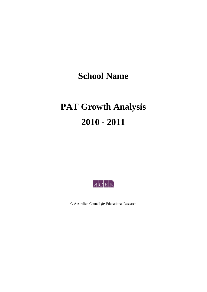# **School Name**

# **PAT Growth Analysis 2010 - 2011**



Australian Council *for* Educational Research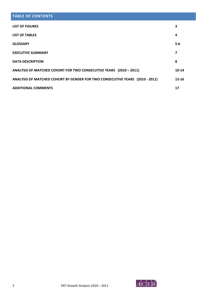## **TABLE OF CONTENTS**

| <b>LIST OF FIGURES</b>                                                       | 3         |
|------------------------------------------------------------------------------|-----------|
| <b>LIST OF TABLES</b>                                                        | 4         |
| <b>GLOSSARY</b>                                                              | $5 - 6$   |
| <b>EXECUTIVE SUMMARY</b>                                                     | 7         |
| <b>DATA DESCRIPTION</b>                                                      | 8         |
| ANALYSIS OF MATCHED COHORT FOR TWO CONSECUTIVE YEARS (2010 - 2011)           | $10 - 14$ |
| ANALYSIS OF MATCHED COHORT BY GENDER FOR TWO CONSECUTIVE YEARS (2010 - 2011) | $15 - 16$ |
| <b>ADDITIONAL COMMENTS</b>                                                   | 17        |

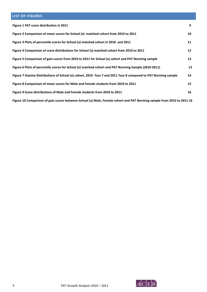## **LIST OF FIGURES**

| Figure 1 PAT score distribution in 2011                                                                                | 9  |
|------------------------------------------------------------------------------------------------------------------------|----|
| Figure 2 Comparison of mean scores for School (x) matched cohort from 2010 to 2011                                     | 10 |
| Figure 3 Plots of percentile scores for School (x) matched cohort in 2010 and 2011                                     | 11 |
| Figure 4 Comparison of score distributions for School (x) matched cohort from 2010 to 2011                             | 12 |
| Figure 5 Comparison of gain scores from 2010 to 2011 for School (x) cohort and PAT Norming sample                      | 13 |
| Figure 6 Plots of percentile scores for School (x) matched cohort and PAT Norming Sample (2010-2011)                   | 13 |
| Figure 7 Stanine Distributions of School (x) cohort, 2010 Year 7 and 2011 Year 8 compared to PAT Norming sample        | 14 |
| Figure 8 Comparison of mean scores for Male and Female students from 2010 to 2011                                      | 15 |
| Figure 9 Score distributions of Male and Female students from 2010 to 2011                                             | 16 |
| Figure 10 Comparison of gain scores between School (x) Male, Female cohort and PAT Norming sample from 2010 to 2011 16 |    |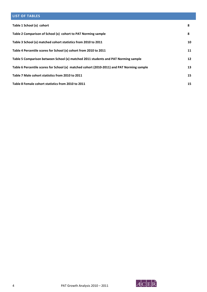# **LIST OF TABLES**

| Table 1 School (x) cohort                                                                  | 8  |
|--------------------------------------------------------------------------------------------|----|
| Table 2 Comparison of School (x) cohort to PAT Norming sample                              | 8  |
| Table 3 School (x) matched cohort statistics from 2010 to 2011                             | 10 |
| Table 4 Percentile scores for School (x) cohort from 2010 to 2011                          | 11 |
| Table 5 Comparison between School (x) matched 2011 students and PAT Norming sample         | 12 |
| Table 6 Percentile scores for School (x) matched cohort (2010-2011) and PAT Norming sample | 13 |
| Table 7 Male cohort statistics from 2010 to 2011                                           | 15 |
| Table 8 Female cohort statistics from 2010 to 2011                                         | 15 |

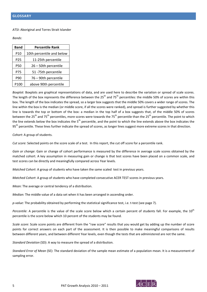#### *ATSI*: Aboriginal and Torres Strait Islander

*Bands*:

| <b>Band</b>     | <b>Percentile Rank</b>    |
|-----------------|---------------------------|
| P <sub>10</sub> | 10th percentile and below |
| P25             | 11-25th percentile        |
| P50             | 26 - 50th percentile      |
| P75             | 51 -75th percentile       |
| P90             | 76 - 90th percentile      |
| P100            | above 90th percentile     |

*Boxplot*: Boxplots are graphical representations of data, and are used here to describe the variation or spread of scale scores. The length of the box represents the difference between the  $25<sup>th</sup>$  and 75<sup>th</sup> percentiles: the middle 50% of scores are within this box. The length of the box indicates the spread, so a larger box suggests that the middle 50% covers a wider range of scores. The line within the box is the median (or middle score, if all the scores were ranked), and spread is further suggested by whether this line is towards the top or bottom of the box: a median in the top half of a box suggests that, of the middle 50% of scores between the 25<sup>th</sup> and 75<sup>th</sup> percentiles, more scores were towards the 75<sup>th</sup> percentile than the 25<sup>th</sup> percentile. The point to which the line extends below the box indicates the  $5<sup>th</sup>$  percentile, and the point to which the line extends above the box indicates the 95<sup>th</sup> percentile. These lines further indicate the spread of scores, as longer lines suggest more extreme scores in that direction.

*Cohort*: A group of students.

*Cut score:* Selected points on the score scale of a test. In this report, the cut off score for a percentile rank.

*Gain or change*: Gain or change of cohort performance is measured by the difference in average scale scores obtained by the matched cohort. A key assumption in measuring gain or change is that test scores have been placed on a common scale, and test scores can be directly and meaningfully compared across Year levels.

*Matched Cohort*: A group of students who have taken the same scaled test in previous years.

*Matched Cohort*: A group of students who have completed consecutive ACER TEST scores in previous years.

*Mean:* The average or central tendency of a distribution.

*Median:* The middle value of a data set when it has been arranged in ascending order.

*p‐value:* The probability obtained by performing the statistical significance test, i.e. t‐test (see page 7).

*Percentile*: A percentile is the value of the scale score below which a certain percent of students fall. For example, the 10<sup>th</sup> percentile is the score below which 10 percent of the students may be found.

*Scale score*: Scale score points are different from the "raw score" results that you would get by adding up the number of score points for correct answers on each part of the assessment. It is then possible to make meaningful comparisons of results between different years, and between different Year levels, even though the tests that are administered are not the same.

*Standard Deviation* (SD): A way to measure the spread of a distribution.

*Standard Error of Mean* (SE): The standard deviation of the sample mean estimate of a population mean. It is a measurement of sampling error.

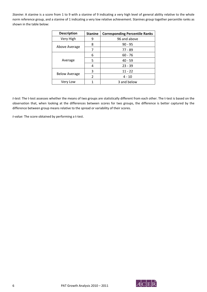*Stanine*: A stanine is a score from 1 to 9 with a stanine of 9 indicating a very high level of general ability relative to the whole norm reference group, and a stanine of 1 indicating a very low relative achievement. Stanines group together percentile ranks as shown in the table below:

| <b>Description</b>   | <b>Stanine</b> | <b>Corresponding Percentile Ranks</b> |
|----------------------|----------------|---------------------------------------|
| Very High            | 9              | 96 and above                          |
|                      | 8              | $90 - 95$                             |
| Above Average        | 7              | 77 - 89                               |
|                      | 6              | $60 - 76$                             |
| Average              | 5              | $40 - 59$                             |
|                      | 4              | $23 - 39$                             |
|                      | 3              | $11 - 22$                             |
| <b>Below Average</b> | $\overline{2}$ | $4 - 10$                              |
| Very Low             |                | 3 and below                           |

*t‐test*: The t‐test assesses whether the means of two groups are statistically different from each other. The t‐test is based on the observation that, when looking at the differences between scores for two groups, the difference is better captured by the difference between group means relative to the spread or variability of their scores.

*t‐value:* The score obtained by performing a t‐test.

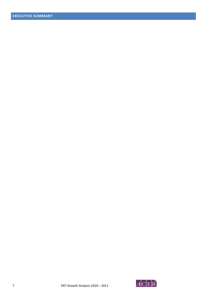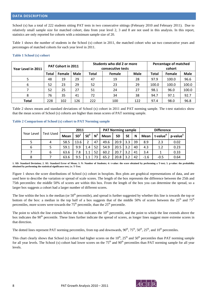School (x) has a total of 222 students sitting PAT tests in two consecutive sittings (February 2010 and February 2011). Due to relatively small sample size for matched cohort, data from year level 2, 3 and 8 are not used in this analysis. In this report, statistics are only reported for cohorts with a minimum sample size of 20.

Table 1 shows the number of students in the School (x) cohort in 2011, the matched cohort who sat two consecutive years and percentages of matched cohorts for each year level in 2011.

| Year Level in 2011 |              | PAT Cohort in 2011 |             |              | Students who did 2 or more<br>consecutive tests | <b>Percentage of matched</b><br>cohort |       |        |             |
|--------------------|--------------|--------------------|-------------|--------------|-------------------------------------------------|----------------------------------------|-------|--------|-------------|
|                    | <b>Total</b> | <b>Female</b>      | <b>Male</b> | <b>Total</b> | <b>Female</b>                                   | <b>Male</b>                            | Total | Female | <b>Male</b> |
| 5                  | 48           | 19                 | 29          | 47           | 19                                              | 28                                     | 97.9  | 100.0  | 96.6        |
| 6                  | 52           | 23                 | 29          | 52           | 23                                              | 29                                     | 100.0 | 100.0  | 100.0       |
|                    | 52           | 25                 | 27          | 51           | 24                                              | 27                                     | 98.1  | 96.0   | 100.0       |
| 8                  | 76           | 35                 | 41          | 72           | 34                                              | 38                                     | 94.7  | 97.1   | 92.7        |
| <b>Total</b>       | 228          | 102                | 126         | 222          | 100                                             | 122                                    | 97.4  | 98.0   | 96.8        |

#### **Table 1 School (x) cohort**

Table 2 shows means and standard deviations of School (x) cohort in 2011 and PAT norming sample. The t-test statistics show that the mean scores of School (x) cohorts are higher than mean scores of PAT norming sample.

#### **Table 2 Comparison of School (x) cohort to PAT Norming sample**

| Year Level | Test Used |             | 2011  |                 |       | <b>PAT Norming sample</b> |           |           | <b>Difference</b> |             |                      |                      |
|------------|-----------|-------------|-------|-----------------|-------|---------------------------|-----------|-----------|-------------------|-------------|----------------------|----------------------|
|            |           | <b>Mean</b> | $SD+$ | SE <sup>2</sup> | $N^3$ | <b>Mean</b>               | <b>SD</b> | <b>SE</b> | N                 | <b>Mean</b> | t-value <sup>4</sup> | p-value <sup>3</sup> |
| 5          |           | 58.5        | 13.6  |                 | 47    | 49.6                      | 20.9      | 3.3       | 39                | 8.9         | 2.3                  | 0.02                 |
| 6          |           | 59.1        | 9.9   | 1.4             | 52    | 54.9                      | 20.5      | 3.2       | 40                | 4.3         | 1.2                  | 0.23                 |
|            | 6         | 63.6        | 7.8   |                 | 52    | 60.2                      | 20.7      | 3.2       | 41                | 3.4         |                      | 0.33                 |
| 8          |           | 63.6        | 9.5   |                 | 73    | 65.2                      | 20.8      | 3.2       | 42                | $-1.6$      | $-0.5$               | 0.64                 |

**1. SD: Standard Deviation; 2. SE: Standard Error of Mean; 3. N: Number of Students; 4: t-value: the score obtained by performing a T-test; 5. p-value: the probability obtained by performing the statistical significance test, i.e. T-Test.** 

Figure 1 shows the score distributions of School (x) cohort in boxplots. Box plots are graphical representations of data, and are used here to describe the variation or spread of scale scores. The length of the box represents the difference between the 25th and 75th percentiles: the middle 50% of scores are within this box. From the length of the box you can determine the spread, so a larger box suggests a cohort had a larger number of different scores.

The line within the box is the median (or 50<sup>th</sup> percentile), and spread is further suggested by whether this line is towards the top or bottom of the box: a median in the top half of a box suggests that of the middle 50% of scores between the  $25<sup>th</sup>$  and  $75<sup>th</sup>$ percentiles, more scores were towards the  $75<sup>th</sup>$  percentile, than the  $25<sup>th</sup>$  percentile.

The point to which the line extends below the box indicates the 10<sup>th</sup> percentile, and the point to which the line extends above the box indicates the 90<sup>th</sup> percentile. These lines further indicate the spread of scores, as longer lines suggest more extreme scores in that direction.

The dotted lines represent PAT norming percentiles, from top and downwards,  $90^{th}$ ,  $75^{th}$ ,  $50^{th}$ ,  $25^{th}$ , and  $10^{th}$  percentiles.

This chart clearly shows that School (x) cohort had higher scores on the  $10^{th}$ ,  $25^{th}$  and  $50^{th}$  percentiles than PAT norming sample for all year levels. The School (x) cohort had lower scores on the  $75<sup>th</sup>$  and  $90<sup>th</sup>$  percentiles than PAT norming sample for all year levels.

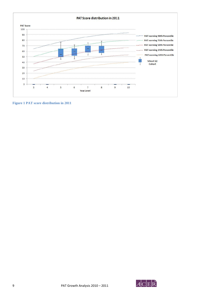

**Figure 1 PAT score distribution in 2011** 

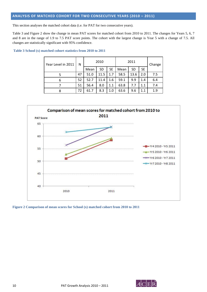#### **ANALYSIS OF MATCHED COHORT FOR TWO CONSECUTIVE YEARS (2010 – 2011)**

This section analyses the matched cohort data (i.e. for PAT for two consecutive years).

Table 3 and Figure 2 show the change in mean PAT scores for matched cohort from 2010 to 2011. The changes for Years 5, 6, 7 and 8 are in the range of 1.9 to 7.5 PAT score points. The cohort with the largest change is Year 5 with a change of 7.5. All changes are statistically significant with 95% confidence.

| Year Level in 2011 | N  |      | 2010 |           | 2011 |           | Change    |     |  |
|--------------------|----|------|------|-----------|------|-----------|-----------|-----|--|
|                    |    | Mean | SD   | <b>SE</b> | Mean | <b>SD</b> | <b>SE</b> |     |  |
|                    | 47 | 51.0 | 11.5 | 1.7       | 58.5 | 13.6      | 2.0       | 7.5 |  |
| 6                  | 52 | 52.7 | 11.4 | 1.6       | 59.1 | 9.9       | 1.4       | 6.4 |  |
|                    | 51 | 56.4 | 8.0  | 1.1       | 63.8 | 7.7       | 1.1       | 7.4 |  |
| 8                  | 72 | 61.7 | 8.3  | 1.0       | 63.6 | 9.6       | 1.1       | 1.9 |  |

 **Table 3 School (x) matched cohort statistics from 2010 to 2011** 



**Figure 2 Comparison of mean scores for School (x) matched cohort from 2010 to 2011** 

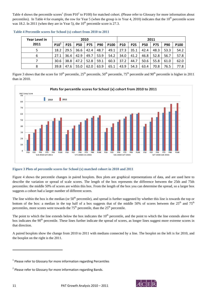Table 4 shows the percentile scores<sup>1</sup> (from P10<sup>2</sup> to P100) for matched cohort. (Please refer to Glossary for more information about percentiles). In Table 4 for example, the row for Year 5 (when the group is in Year 4, 2010) indicates that the  $10<sup>th</sup>$  percentile score was 18.2. In 2011 (when they are in Year 5), the  $10<sup>th</sup>$  percentile score is 27.3.

| <b>Year Level in</b> |                  |            |            | 2010       |            |                  | 2011       |            |            |            |            |      |
|----------------------|------------------|------------|------------|------------|------------|------------------|------------|------------|------------|------------|------------|------|
| 2011                 | P10 <sup>1</sup> | <b>P25</b> | <b>P50</b> | <b>P75</b> | <b>P90</b> | P <sub>100</sub> | <b>P10</b> | <b>P25</b> | <b>P50</b> | <b>P75</b> | <b>P90</b> | P100 |
| 5                    | 18.2             | 29.5       | 36.6       | 42.4       | 48.7       | 49.1             | 27.3       | 35.1       | 42.4       | 48.3       | 53.3       | 54.2 |
| 6                    | 27.1             | 36.4       | 42.9       | 49.7       | 53.9       | 54.2             | 34.0       | 41.2       | 46.8       | 52.8       | 56.7       | 57.8 |
|                      | 30.6             | 38.8       | 47.2       | 52.8       | 59.1       | 60.3             | 37.2       | 44.7       | 50.6       | 55.8       | 61.0       | 62.0 |
| 8                    | 39.8             | 47.6       | 55.0       | 62.0       | 63.9       | 65.1             | 43.9       | 54.3       | 63.4       | 70.8       | 76.5       | 77.8 |

**Table 4 Percentile scores for School (x) cohort from 2010 to 2011** 

Figure 3 shows that the score for  $10^{th}$  percentile,  $25^{th}$  percentile,  $50^{th}$  percentile,  $75^{th}$  percentile and  $90^{th}$  percentile is higher in 2011 than in 2010.



#### **Figure 3 Plots of percentile scores for School (x) matched cohort in 2010 and 2011**

Figure 4 shows the percentile changes in paired boxplots. Box plots are graphical representations of data, and are used here to describe the variation or spread of scale scores. The length of the box represents the difference between the 25th and 75th percentiles: the middle 50% of scores are within this box. From the length of the box you can determine the spread, so a larger box suggests a cohort had a larger number of different scores.

The line within the box is the median (or 50<sup>th</sup> percentile), and spread is further suggested by whether this line is towards the top or bottom of the box: a median in the top half of a box suggests that of the middle 50% of scores between the  $25<sup>th</sup>$  and  $75<sup>th</sup>$ percentiles, more scores were towards the  $75<sup>th</sup>$  percentile, than the  $25<sup>th</sup>$  percentile.

The point to which the line extends below the box indicates the  $10<sup>th</sup>$  percentile, and the point to which the line extends above the box indicates the 90<sup>th</sup> percentile. These lines further indicate the spread of scores, as longer lines suggest more extreme scores in that direction.

A paired boxplots show the change from 2010 to 2011 with medians connected by a line. The boxplot on the left is for 2010, and the boxplot on the right is the 2011.

<u> Andrew Maria (1989)</u>



 $1$  Please refer to Glossary for more information regarding Percentiles

 $2$  Please refer to Glossary for more information regarding Bands.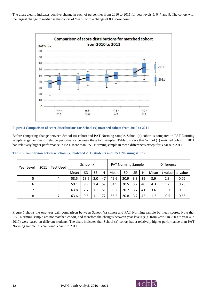The chart clearly indicates positive change in each of percentiles from 2010 to 2011 for year levels 5, 6, 7 and 9. The cohort with the largest change in median is the cohort of Year 8 with a change of 8.4 score point.



#### **Figure 4 Comparison of score distributions for School (x) matched cohort from 2010 to 2011**

Before comparing change between School (x) cohort and PAT Norming sample, School (x) cohort is compared to PAT Norming sample to get an idea of relative performance between these two samples. Table 5 shows that School (x) matched cohort in 2011 had relatively higher performance in PAT score than PAT Norming sample in mean differences except for Year 8 in 2011.

| Year Level in 2011 | Test Used | School (x) |      |           |    |      | <b>PAT Norming Sample</b> |           |    | <b>Difference</b> |         |         |  |
|--------------------|-----------|------------|------|-----------|----|------|---------------------------|-----------|----|-------------------|---------|---------|--|
|                    |           | Mean       | SD   | <b>SE</b> | N  | Mean | SD                        | <b>SE</b> | N  | Mean              | t-value | p-value |  |
|                    | 4         | 58.5       | 13.6 | 2.0       | 47 | 49.6 | 20.9                      | 3.3       | 39 | 8.9               | 2.3     | 0.02    |  |
| 6                  | 5         | 59.1       | 9.9  | 1.4       | 52 | 54.9 | 20.5                      | 3.2       | 40 | 4.3               | 1.2     | 0.23    |  |
|                    | 6         | 63.8       | 7.7  | 1.1       | 51 | 60.2 | 20.7                      | 3.2       | 41 | 3.6               | 1.0     | 0.30    |  |
| 8                  | 7         | 63.6       | 9.6  | 1.1       | 72 | 65.2 | 20.8                      | 3.2       | 42 | $-1.5$            | $-0.5$  | 0.65    |  |

**Table 5 Comparison between School (x) matched 2011 students and PAT Norming sample** 

Figure 5 shows the one-year gain comparison between School (x) cohort and PAT Norming sample by mean scores. Note that PAT Norming sample are not matched cohort, and therefore the changes between year levels (e.g. from year 3 in 2009 to year 4 in 2010) were based on different students. The chart indicates that School (x) cohort had a relatively higher performance than PAT Norming sample in Year 6 and Year 7 in 2011.

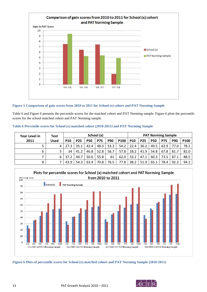

#### **Figure 5 Comparison of gain scores from 2010 to 2011 for School (x) cohort and PAT Norming Sample**

Table 6 and Figure 6 presents the percentile scores for the matched cohort and PAT Norming sample. Figure 6 plots the percentile scores for the school matched cohort and PAT Norming sample.

| Year Level in | <b>Test</b> | School (x) |            |            |            |            |      |            | <b>PAT Norming Sample</b> |            |            |            |      |  |
|---------------|-------------|------------|------------|------------|------------|------------|------|------------|---------------------------|------------|------------|------------|------|--|
| 2011          | <b>Used</b> | <b>P10</b> | <b>P25</b> | <b>P50</b> | <b>P75</b> | <b>P90</b> | P100 | <b>P10</b> | <b>P25</b>                | <b>P50</b> | <b>P75</b> | <b>P90</b> | P100 |  |
|               | 4           | 27.3       | 35.1       | 42.4       | 48.3       | 53.3       | 54.2 | 22.4       | 36.2                      | 49.5       | 62.9       | 77.0       | 78.1 |  |
| 6             |             | 34         | 41.2       | 46.8       | 52.8       | 56.7       | 57.8 | 28.2       | 41.9                      | 54.8       | 67.8       | 81.7       | 82.0 |  |
|               | 6           | 37.2       | 44.7       | 50.6       | 55.8       | 61         | 62.0 | 33.2       | 47.1                      | 60.3       | 73.5       | 87.1       | 88.5 |  |
| 8             |             | 43.9       | 54.3       | 63.4       | 70.8       | 76.5       | 77.8 | 38.2       | 51.9                      | 65.1       | 78.4       | 92.3       | 94.1 |  |



**Figure 6 Plots of percentile scores for School (x) matched cohort and PAT Norming Sample (2010-2011)** 

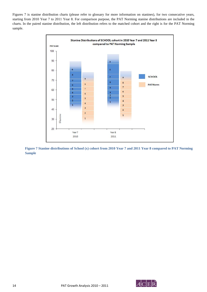Figures 7 is stanine distribution charts (please refer to glossary for more information on stanines), for two consecutive years, starting from 2010 Year 7 to 2011 Year 8. For comparison purpose, the PAT Norming stanine distributions are included in the charts. In the paired stanine distribution, the left distribution refers to the matched cohort and the right is for the PAT Norming sample.



**Figure 7 Stanine distributions of School (x) cohort from 2010 Year 7 and 2011 Year 8 compared to PAT Norming Sample** 

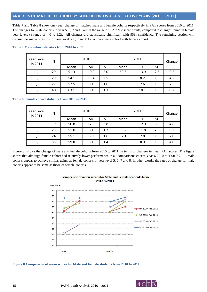#### **ANALYSIS OF MATCHED COHORT BY GENDER FOR TWO CONSECUTIVE YEARS (2010 – 2011)**

Table 7 and Table 8 show one- year change of matched male and female cohorts respectively in PAT scores from 2010 to 2011. The changes for male cohorts in year 5, 6, 7 and 8 are in the range of 0.2 to 9.2 score points, compared to changes found in female year levels (a range of 4.0 to 9.2). All changes are statistically significant with 95% confidence. The remaining section will discuss the analysis results for year level 5, 6, 7 and 8 to compare male cohort with female cohort.

| Year Level<br>in 2011 | N  | 2010 |           |           | 2011 |           |           | Change |
|-----------------------|----|------|-----------|-----------|------|-----------|-----------|--------|
|                       |    | Mean | <b>SD</b> | <b>SE</b> | Mean | <b>SD</b> | <b>SE</b> |        |
| 5                     | 29 | 51.3 | 10.9      | 2.0       | 60.5 | 13.9      | 2.6       | 9.2    |
| 6                     | 29 | 54.1 | 13.4      | 2.5       | 58.3 | 8.2       | 1.5       | 4.2    |
|                       | 27 | 57.5 | 8.1       | 1.6       | 65.0 | 7.6       | 1.5       | 7.5    |
| 8                     | 40 | 63.1 | 8.4       | 1.3       | 63.3 | 10.1      | 1.6       | 0.2    |

#### **Table 7 Male cohort statistics from 2010 to 2011**

#### **Table 8 Female cohort statistics from 2010 to 2011**

| Year Level<br>in 2011 | N  | 2010 |      |           | 2011 |           |     | Change |
|-----------------------|----|------|------|-----------|------|-----------|-----|--------|
|                       |    | Mean | SD   | <b>SE</b> | Mean | <b>SD</b> | SE. |        |
| 5                     | 19 | 50.8 | 12.3 | 2.8       | 55.6 | 12.9      | 3.0 | 4.8    |
| 6                     | 23 | 51.0 | 8.1  | 1.7       | 60.2 | 11.8      | 2.5 | 9.2    |
|                       | 24 | 55.1 | 8.0  | 1.6       | 62.1 | 7.8       | 1.6 | 7.0    |
| 8                     | 35 | 59.8 | 8.1  | 1.4       | 63.9 | 8.9       | 1.5 | 4.0    |

Figure 8 shows the change of male and female cohorts from 2010 to 2011, in terms of changes in mean PAT scores. The figure shows that although female cohort had relatively lower performance in all comparisons except Year 6 2010 to Year 7 2011, male cohorts appear to achieve similar gains, as female cohorts in year level 5, 6, 7 and 8. In other words, the rates of change for male cohorts appear to be same as those of female cohorts.



**Figure 8 Comparison of mean scores for Male and Female students from 2010 to 2011** 

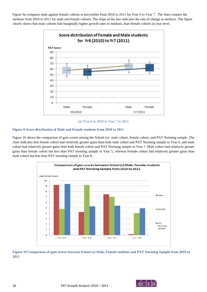Figure 9a compares male against female cohorts in percentiles from 2010 to 2011 for Year 6 to Year 7. The lines connect the medians from 2010 to 2011 for male and female cohorts. The slope of the line indicates the rate of change in medians. The figure clearly shows that male cohorts had marginally higher growth rates in medians, than female cohorts in year level.



#### (a) Year 6 in 2010 to Year 7 in 2011

#### **Figure 9 Score distribution of Male and Female students from 2010 to 2011**

Figure 10 shows the comparison of gain scores among the School (x) male cohort, female cohort, and PAT Norming sample. The chart indicates that female cohort had relatively greater gains than both male cohort and PAT Norming sample in Year 6, and male cohort had relatively greater gains than both female cohort and PAT Norming sample in Year 7. Male cohort had relatively greater gains than female cohort but less than PAT norming sample in Year 5, whereas Female cohort had relatively greater gains than male cohort but less than PAT norming sample in Year 8.



**Figure 10 Comparison of gain scores between School (x) Male, Female students and PAT Norming Sample from 2010 to 2011**